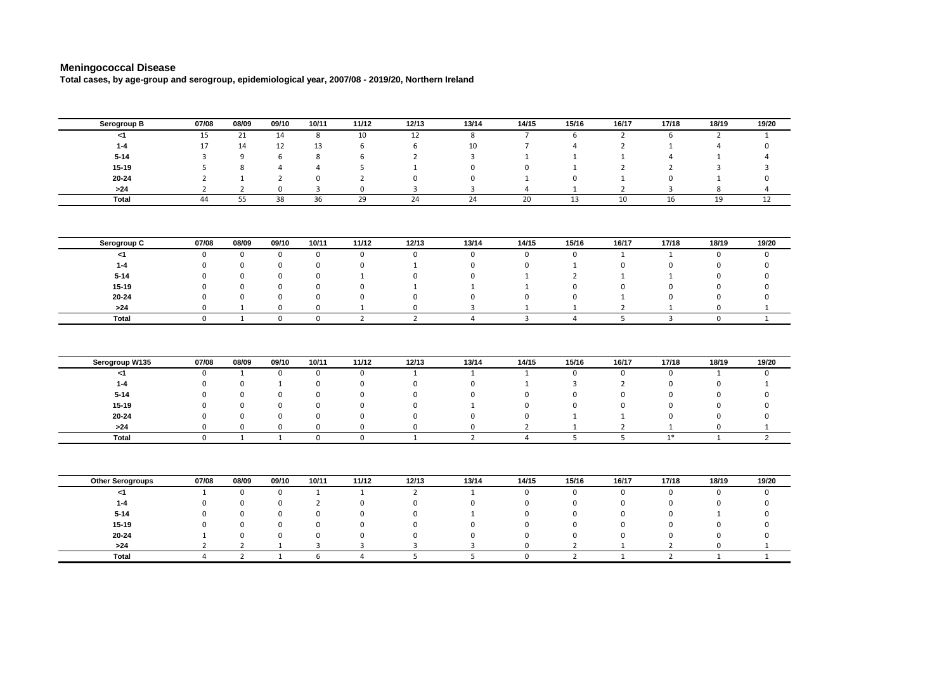## **Meningococcal Disease**

**Total cases, by age-group and serogroup, epidemiological year, 2007/08 - 2019/20, Northern Ireland**

| Serogroup B             | 07/08          | 08/09          | 09/10          | 10/11          | 11/12          | 12/13          | 13/14          | 14/15          | 15/16          | 16/17          | 17/18          | 18/19          | 19/20          |
|-------------------------|----------------|----------------|----------------|----------------|----------------|----------------|----------------|----------------|----------------|----------------|----------------|----------------|----------------|
| $<$ 1                   | 15             | 21             | 14             | 8              | 10             | 12             | 8              | $\overline{7}$ | 6              | $\overline{2}$ | 6              | $\overline{2}$ | $\mathbf{1}$   |
| $1 - 4$                 | 17             | 14             | 12             | 13             | 6              | 6              | 10             | $\overline{7}$ | 4              | $\overline{2}$ | $\mathbf{1}$   | 4              | $\mathbf 0$    |
| $5 - 14$                | 3              | 9              | 6              | 8              | 6              | $\overline{2}$ | 3              | $\mathbf{1}$   | 1              | $\mathbf 1$    | 4              | $\mathbf{1}$   | $\overline{a}$ |
| $15 - 19$               | 5              | 8              | $\overline{4}$ | 4              | 5              | $\mathbf{1}$   | $\mathbf 0$    | $\Omega$       | $\mathbf{1}$   | $\overline{2}$ | $\overline{2}$ | 3              | 3              |
| $20 - 24$               | $\overline{2}$ | $\mathbf{1}$   | $\overline{2}$ | 0              | $\overline{2}$ | $\pmb{0}$      | $\mathbf 0$    | $\mathbf{1}$   | $\mathbf 0$    | $\mathbf 1$    | $\mathsf 0$    | $\mathbf{1}$   | $\mathbf 0$    |
| >24                     | $\overline{2}$ | $\overline{2}$ | $\mathsf 0$    | 3              | $\Omega$       | 3              | 3              | 4              | 1              | $\overline{2}$ | 3              | 8              | $\overline{4}$ |
| Total                   | 44             | 55             | 38             | 36             | 29             | 24             | 24             | 20             | 13             | 10             | 16             | 19             | 12             |
|                         |                |                |                |                |                |                |                |                |                |                |                |                |                |
| Serogroup C             | 07/08          | 08/09          | 09/10          | 10/11          | 11/12          | 12/13          | 13/14          | 14/15          | 15/16          | 16/17          | 17/18          | 18/19          | 19/20          |
| $<$ 1                   | $\mathbf 0$    | $\mathbf 0$    | $\mathbf 0$    | $\mathsf 0$    | $\mathbf 0$    | $\mathbf 0$    | $\mathbf 0$    | $\mathbf 0$    | $\mathsf 0$    | 1              | $\mathbf{1}$   | $\mathbf 0$    | $\mathbf 0$    |
| $1 - 4$                 | 0              | $\mathbf 0$    | $\mathbf 0$    | 0              | 0              | $\mathbf{1}$   | 0              | 0              | $\mathbf{1}$   | 0              | 0              | 0              | $\mathbf 0$    |
| $5 - 14$                | O              | $\mathbf 0$    | $\mathbf 0$    | 0              | $\mathbf{1}$   | 0              | $\mathbf 0$    | $\mathbf{1}$   | $\overline{2}$ | $\mathbf{1}$   | 1              | 0              | $\mathbf 0$    |
| $15 - 19$               | 0              | 0              | $\mathbf 0$    | 0              | 0              | $\mathbf{1}$   | $\mathbf{1}$   | $\mathbf{1}$   | $\pmb{0}$      | 0              | 0              | 0              | $\mathbf 0$    |
| $20 - 24$               | 0              | $\mathbf 0$    | $\mathbf 0$    | 0              | 0              | $\mathbf 0$    | $\mathbf 0$    | $\mathbf 0$    | $\pmb{0}$      | $\mathbf{1}$   | $\mathsf 0$    | $\mathbf 0$    | $\mathsf 0$    |
| >24                     | 0              | 1              | $\mathbf 0$    | $\mathbf 0$    | $\mathbf{1}$   | 0              | 3              | 1              | 1              | $\overline{2}$ | 1              | 0              | $\mathbf{1}$   |
| <b>Total</b>            | $\Omega$       | $\mathbf{1}$   | $\mathbf 0$    | $\mathbf 0$    | $\overline{2}$ | $\overline{2}$ | $\overline{4}$ | $\overline{3}$ | $\overline{4}$ | 5              | $\overline{3}$ | $\mathbf 0$    | $\mathbf{1}$   |
| Serogroup W135          | 07/08          | 08/09          | 09/10          | 10/11          | 11/12          | 12/13          | 13/14          | 14/15          | 15/16          | 16/17          | 17/18          | 18/19          | 19/20          |
| $<$ 1                   | 0              | $\mathbf{1}$   | $\mathsf 0$    | $\mathsf 0$    | 0              | $\mathbf{1}$   | $\mathbf{1}$   | $\mathbf{1}$   | $\mathsf 0$    | 0              | 0              | $\mathbf{1}$   | $\mathbf 0$    |
|                         |                |                |                |                |                |                |                |                |                |                |                |                |                |
| $1 - 4$                 | 0              | $\mathbf 0$    | $\mathbf{1}$   | $\mathbf 0$    | 0              | $\mathbf 0$    | $\mathbf 0$    | $\mathbf{1}$   | 3              | $\overline{2}$ | $\Omega$       | $\mathbf 0$    | $\mathbf{1}$   |
| $5 - 14$                | 0              | $\mathbf 0$    | $\mathbf 0$    | $\mathbf 0$    | $\pmb{0}$      | $\Omega$       | $\mathbf 0$    | 0              | $\mathbf 0$    | 0              | $\Omega$       | 0              | $\mathbf 0$    |
| $15 - 19$               | 0              | $\mathbf 0$    | $\mathbf 0$    | $\mathbf 0$    | $\mathbf 0$    | $\Omega$       | $\mathbf{1}$   | $\mathbf 0$    | $\mathbf 0$    | $\mathbf 0$    | $\Omega$       | $\mathbf 0$    | $\mathbf 0$    |
| $20 - 24$               | 0              | $\mathbf 0$    | $\mathbf 0$    | $\mathbf 0$    | $\mathbf 0$    | $\Omega$       | $\Omega$       | $\Omega$       | $\mathbf{1}$   | $\mathbf{1}$   | $\Omega$       | $\Omega$       | $\mathbf 0$    |
| $>24$                   | $\mathbf 0$    | $\mathbf 0$    | $\mathsf 0$    | $\mathbf 0$    | $\mathbf 0$    | $\mathsf 0$    | 0              | $\overline{2}$ | $\mathbf{1}$   | $\mathbf 2$    | $\mathbf{1}$   | $\mathbf 0$    | $\mathbf{1}$   |
| <b>Total</b>            | $\mathbf 0$    | 1              | 1              | $\mathbf 0$    | $\mathbf 0$    | 1              | $\overline{2}$ | 4              | 5              | 5              | $1*$           | $\mathbf{1}$   | $\overline{2}$ |
|                         |                |                |                |                |                |                |                |                |                |                |                |                |                |
| <b>Other Serogroups</b> | 07/08          | 08/09          | 09/10          | 10/11          | 11/12          | 12/13          | 13/14          | 14/15          | 15/16          | 16/17          | 17/18          | 18/19          | 19/20          |
| $<$ 1                   | $\mathbf{1}$   | 0              | $\mathsf 0$    | $\mathbf{1}$   | $\mathbf{1}$   | $\overline{2}$ | $\mathbf{1}$   | 0              | $\mathbf 0$    | 0              | $\mathbf 0$    | 0              | $\mathbf 0$    |
| $1 - 4$                 | $\mathbf 0$    | $\mathbf 0$    | $\mathbf 0$    | $\overline{2}$ | $\mathbf 0$    | $\mathbf 0$    | 0              | $\mathbf 0$    | 0              | $\mathbf 0$    | 0              | $\mathbf 0$    | $\mathbf 0$    |
| $5 - 14$                | O              | $\mathbf 0$    | $\mathbf 0$    | 0              | 0              | $\mathbf 0$    | $\mathbf{1}$   | $\mathbf 0$    | $\Omega$       | $\mathbf 0$    | $\Omega$       | $\mathbf{1}$   | $\Omega$       |
| $15 - 19$               | O              | $\Omega$       | $\Omega$       | $\Omega$       | $\Omega$       | $\Omega$       | $\Omega$       | $\Omega$       | $\Omega$       | $\Omega$       | $\Omega$       | $\Omega$       | $\Omega$       |
| $20 - 24$               | $\mathbf{1}$   | 0              | $\mathbf 0$    | 0              | 0              | $\mathbf 0$    | 0              | 0              | $\mathbf 0$    | $\pmb{0}$      | 0              | 0              | $\mathbf 0$    |
| >24                     | $\overline{2}$ | $\overline{2}$ | 1              | 3              | 3              | 3              | 3              | 0              | 2              | 1              | $\overline{2}$ | 0              | 1              |